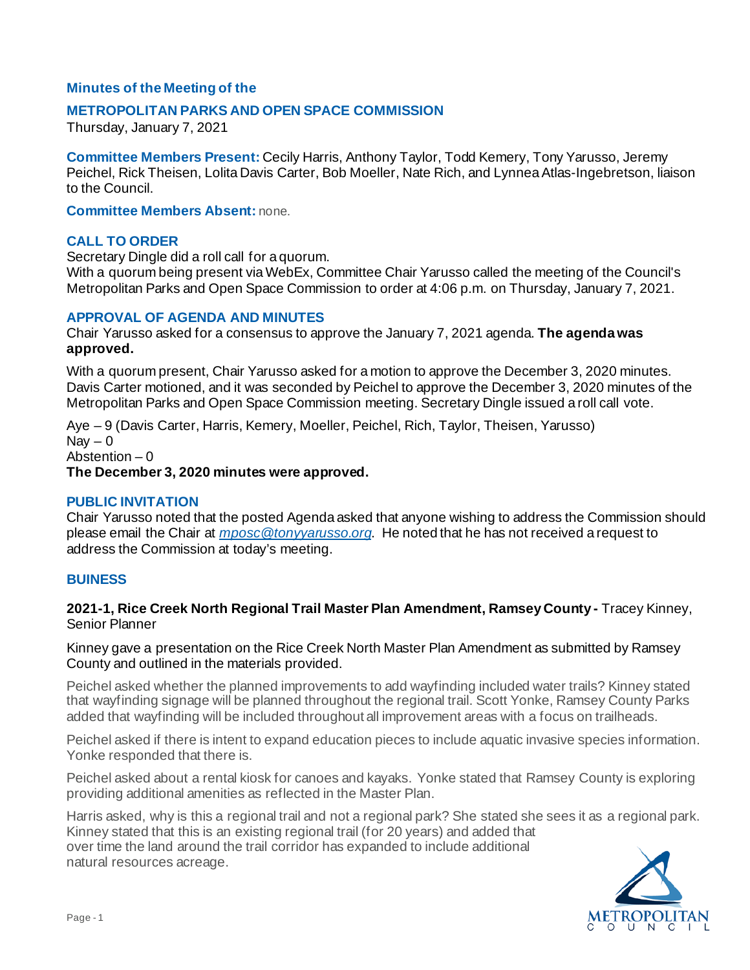# **Minutes of the Meeting of the**

### **METROPOLITAN PARKS AND OPEN SPACE COMMISSION**

Thursday, January 7, 2021

**Committee Members Present:** Cecily Harris, Anthony Taylor, Todd Kemery, Tony Yarusso, Jeremy Peichel, Rick Theisen, Lolita Davis Carter, Bob Moeller, Nate Rich, and Lynnea Atlas-Ingebretson, liaison to the Council.

**Committee Members Absent:** none.

#### **CALL TO ORDER**

Secretary Dingle did a roll call for a quorum.

With a quorum being present via WebEx, Committee Chair Yarusso called the meeting of the Council's Metropolitan Parks and Open Space Commission to order at 4:06 p.m. on Thursday, January 7, 2021.

### **APPROVAL OF AGENDA AND MINUTES**

Chair Yarusso asked for a consensus to approve the January 7, 2021 agenda. **The agenda was approved.**

With a quorum present, Chair Yarusso asked for a motion to approve the December 3, 2020 minutes. Davis Carter motioned, and it was seconded by Peichel to approve the December 3, 2020 minutes of the Metropolitan Parks and Open Space Commission meeting. Secretary Dingle issued a roll call vote.

Aye – 9 (Davis Carter, Harris, Kemery, Moeller, Peichel, Rich, Taylor, Theisen, Yarusso)  $\text{Nav} - 0$ Abstention – 0 **The December 3, 2020 minutes were approved.**

#### **PUBLIC INVITATION**

Chair Yarusso noted that the posted Agenda asked that anyone wishing to address the Commission should please email the Chair at *[mposc@tonyyarusso.org](mailto:mposc@tonyyarusso.org)*. He noted that he has not received a request to address the Commission at today's meeting.

#### **BUINESS**

**2021-1, Rice Creek North Regional Trail Master Plan Amendment, Ramsey County -** Tracey Kinney, Senior Planner

Kinney gave a presentation on the Rice Creek North Master Plan Amendment as submitted by Ramsey County and outlined in the materials provided.

Peichel asked whether the planned improvements to add wayfinding included water trails? Kinney stated that wayfinding signage will be planned throughout the regional trail. Scott Yonke, Ramsey County Parks added that wayfinding will be included throughout all improvement areas with a focus on trailheads.

Peichel asked if there is intent to expand education pieces to include aquatic invasive species information. Yonke responded that there is.

Peichel asked about a rental kiosk for canoes and kayaks. Yonke stated that Ramsey County is exploring providing additional amenities as reflected in the Master Plan.

Harris asked, why is this a regional trail and not a regional park? She stated she sees it as a regional park. Kinney stated that this is an existing regional trail (for 20 years) and added that over time the land around the trail corridor has expanded to include additional natural resources acreage.

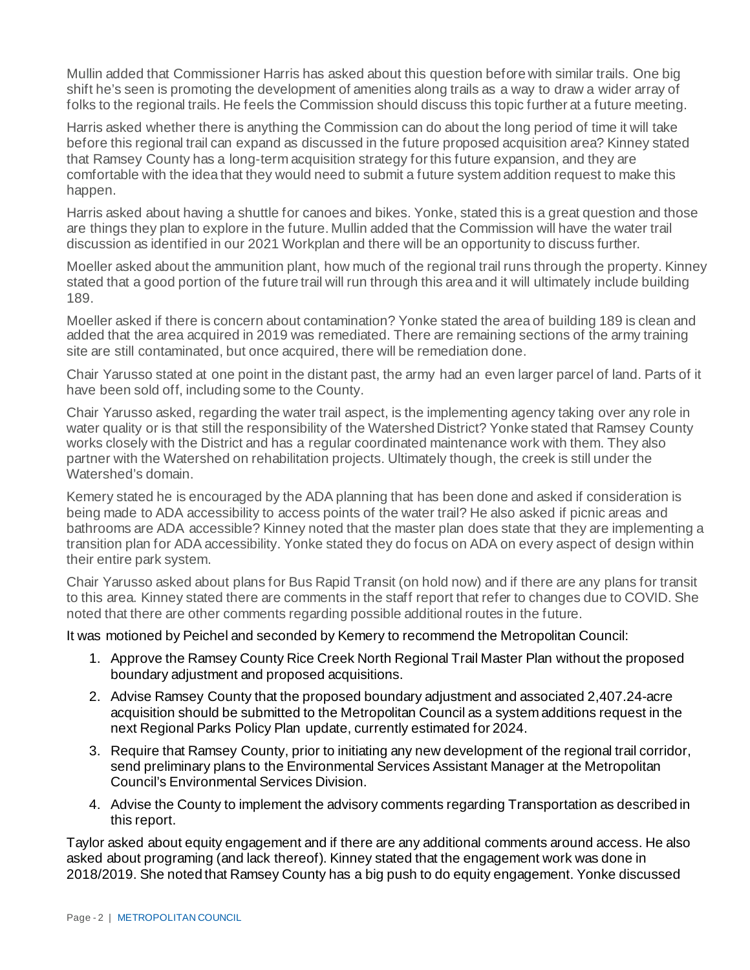Mullin added that Commissioner Harris has asked about this question before with similar trails. One big shift he's seen is promoting the development of amenities along trails as a way to draw a wider array of folks to the regional trails. He feels the Commission should discuss this topic further at a future meeting.

Harris asked whether there is anything the Commission can do about the long period of time it will take before this regional trail can expand as discussed in the future proposed acquisition area? Kinney stated that Ramsey County has a long-term acquisition strategy for this future expansion, and they are comfortable with the idea that they would need to submit a future system addition request to make this happen.

Harris asked about having a shuttle for canoes and bikes. Yonke, stated this is a great question and those are things they plan to explore in the future. Mullin added that the Commission will have the water trail discussion as identified in our 2021 Workplan and there will be an opportunity to discuss further.

Moeller asked about the ammunition plant, how much of the regional trail runs through the property. Kinney stated that a good portion of the future trail will run through this area and it will ultimately include building 189.

Moeller asked if there is concern about contamination? Yonke stated the area of building 189 is clean and added that the area acquired in 2019 was remediated. There are remaining sections of the army training site are still contaminated, but once acquired, there will be remediation done.

Chair Yarusso stated at one point in the distant past, the army had an even larger parcel of land. Parts of it have been sold off, including some to the County.

Chair Yarusso asked, regarding the water trail aspect, is the implementing agency taking over any role in water quality or is that still the responsibility of the Watershed District? Yonke stated that Ramsey County works closely with the District and has a regular coordinated maintenance work with them. They also partner with the Watershed on rehabilitation projects. Ultimately though, the creek is still under the Watershed's domain.

Kemery stated he is encouraged by the ADA planning that has been done and asked if consideration is being made to ADA accessibility to access points of the water trail? He also asked if picnic areas and bathrooms are ADA accessible? Kinney noted that the master plan does state that they are implementing a transition plan for ADA accessibility. Yonke stated they do focus on ADA on every aspect of design within their entire park system.

Chair Yarusso asked about plans for Bus Rapid Transit (on hold now) and if there are any plans for transit to this area. Kinney stated there are comments in the staff report that refer to changes due to COVID. She noted that there are other comments regarding possible additional routes in the future.

It was motioned by Peichel and seconded by Kemery to recommend the Metropolitan Council:

- 1. Approve the Ramsey County Rice Creek North Regional Trail Master Plan without the proposed boundary adjustment and proposed acquisitions.
- 2. Advise Ramsey County that the proposed boundary adjustment and associated 2,407.24-acre acquisition should be submitted to the Metropolitan Council as a system additions request in the next Regional Parks Policy Plan update, currently estimated for 2024.
- 3. Require that Ramsey County, prior to initiating any new development of the regional trail corridor, send preliminary plans to the Environmental Services Assistant Manager at the Metropolitan Council's Environmental Services Division.
- 4. Advise the County to implement the advisory comments regarding Transportation as described in this report.

Taylor asked about equity engagement and if there are any additional comments around access. He also asked about programing (and lack thereof). Kinney stated that the engagement work was done in 2018/2019. She noted that Ramsey County has a big push to do equity engagement. Yonke discussed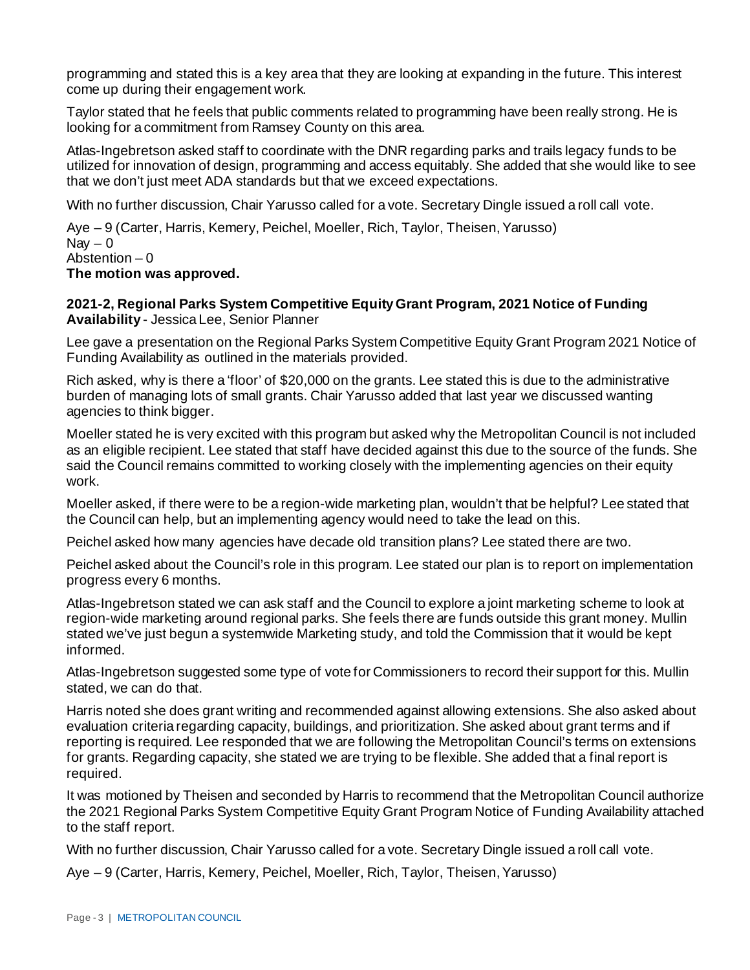programming and stated this is a key area that they are looking at expanding in the future. This interest come up during their engagement work.

Taylor stated that he feels that public comments related to programming have been really strong. He is looking for a commitment from Ramsey County on this area.

Atlas-Ingebretson asked staff to coordinate with the DNR regarding parks and trails legacy funds to be utilized for innovation of design, programming and access equitably. She added that she would like to see that we don't just meet ADA standards but that we exceed expectations.

With no further discussion, Chair Yarusso called for a vote. Secretary Dingle issued a roll call vote.

Aye – 9 (Carter, Harris, Kemery, Peichel, Moeller, Rich, Taylor, Theisen, Yarusso) Nav  $-0$ Abstention – 0 **The motion was approved.**

### **2021-2, Regional Parks System Competitive Equity Grant Program, 2021 Notice of Funding Availability** - Jessica Lee, Senior Planner

Lee gave a presentation on the Regional Parks System Competitive Equity Grant Program 2021 Notice of Funding Availability as outlined in the materials provided.

Rich asked, why is there a 'floor' of \$20,000 on the grants. Lee stated this is due to the administrative burden of managing lots of small grants. Chair Yarusso added that last year we discussed wanting agencies to think bigger.

Moeller stated he is very excited with this program but asked why the Metropolitan Council is not included as an eligible recipient. Lee stated that staff have decided against this due to the source of the funds. She said the Council remains committed to working closely with the implementing agencies on their equity work.

Moeller asked, if there were to be a region-wide marketing plan, wouldn't that be helpful? Lee stated that the Council can help, but an implementing agency would need to take the lead on this.

Peichel asked how many agencies have decade old transition plans? Lee stated there are two.

Peichel asked about the Council's role in this program. Lee stated our plan is to report on implementation progress every 6 months.

Atlas-Ingebretson stated we can ask staff and the Council to explore a joint marketing scheme to look at region-wide marketing around regional parks. She feels there are funds outside this grant money. Mullin stated we've just begun a systemwide Marketing study, and told the Commission that it would be kept informed.

Atlas-Ingebretson suggested some type of vote for Commissioners to record their support for this. Mullin stated, we can do that.

Harris noted she does grant writing and recommended against allowing extensions. She also asked about evaluation criteria regarding capacity, buildings, and prioritization. She asked about grant terms and if reporting is required. Lee responded that we are following the Metropolitan Council's terms on extensions for grants. Regarding capacity, she stated we are trying to be flexible. She added that a final report is required.

It was motioned by Theisen and seconded by Harris to recommend that the Metropolitan Council authorize the 2021 Regional Parks System Competitive Equity Grant Program Notice of Funding Availability attached to the staff report.

With no further discussion, Chair Yarusso called for a vote. Secretary Dingle issued a roll call vote.

Aye – 9 (Carter, Harris, Kemery, Peichel, Moeller, Rich, Taylor, Theisen, Yarusso)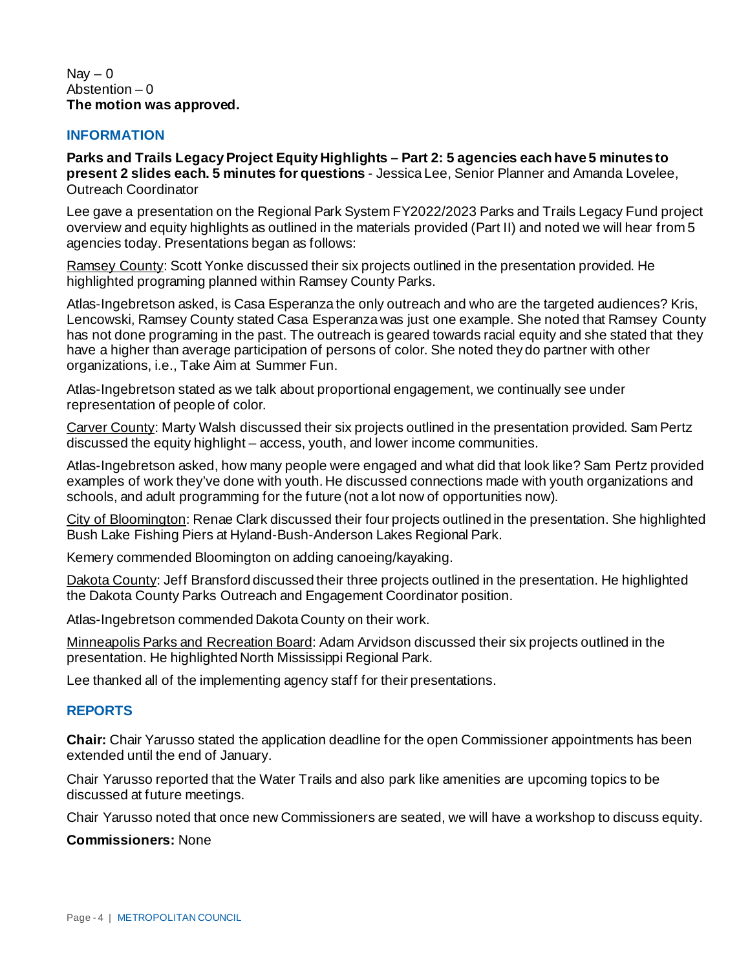#### $Nav - 0$ Abstention  $-0$ **The motion was approved.**

### **INFORMATION**

**Parks and Trails Legacy Project Equity Highlights – Part 2: 5 agencies each have 5 minutes to present 2 slides each. 5 minutes for questions** - Jessica Lee, Senior Planner and Amanda Lovelee, Outreach Coordinator

Lee gave a presentation on the Regional Park System FY2022/2023 Parks and Trails Legacy Fund project overview and equity highlights as outlined in the materials provided (Part II) and noted we will hear from 5 agencies today. Presentations began as follows:

Ramsey County: Scott Yonke discussed their six projects outlined in the presentation provided. He highlighted programing planned within Ramsey County Parks.

Atlas-Ingebretson asked, is Casa Esperanza the only outreach and who are the targeted audiences? Kris, Lencowski, Ramsey County stated Casa Esperanza was just one example. She noted that Ramsey County has not done programing in the past. The outreach is geared towards racial equity and she stated that they have a higher than average participation of persons of color. She noted they do partner with other organizations, i.e., Take Aim at Summer Fun.

Atlas-Ingebretson stated as we talk about proportional engagement, we continually see under representation of people of color.

Carver County: Marty Walsh discussed their six projects outlined in the presentation provided. Sam Pertz discussed the equity highlight – access, youth, and lower income communities.

Atlas-Ingebretson asked, how many people were engaged and what did that look like? Sam Pertz provided examples of work they've done with youth. He discussed connections made with youth organizations and schools, and adult programming for the future (not a lot now of opportunities now).

City of Bloomington: Renae Clark discussed their four projects outlined in the presentation. She highlighted Bush Lake Fishing Piers at Hyland-Bush-Anderson Lakes Regional Park.

Kemery commended Bloomington on adding canoeing/kayaking.

Dakota County: Jeff Bransford discussed their three projects outlined in the presentation. He highlighted the Dakota County Parks Outreach and Engagement Coordinator position.

Atlas-Ingebretson commended Dakota County on their work.

Minneapolis Parks and Recreation Board: Adam Arvidson discussed their six projects outlined in the presentation. He highlighted North Mississippi Regional Park.

Lee thanked all of the implementing agency staff for their presentations.

## **REPORTS**

**Chair:** Chair Yarusso stated the application deadline for the open Commissioner appointments has been extended until the end of January.

Chair Yarusso reported that the Water Trails and also park like amenities are upcoming topics to be discussed at future meetings.

Chair Yarusso noted that once new Commissioners are seated, we will have a workshop to discuss equity.

**Commissioners:** None